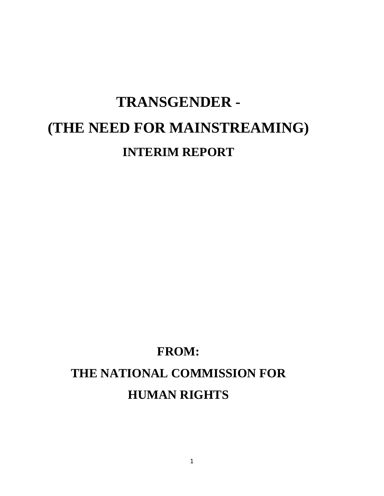# **TRANSGENDER - (THE NEED FOR MAINSTREAMING) INTERIM REPORT**

# **FROM: THE NATIONAL COMMISSION FOR HUMAN RIGHTS**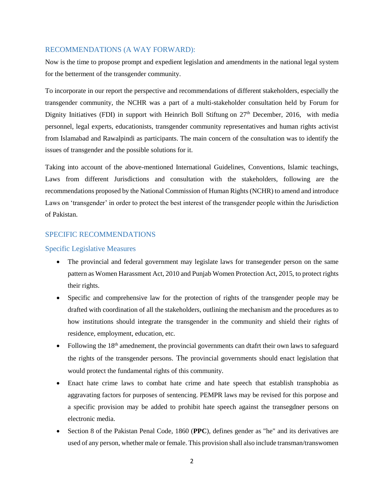#### RECOMMENDATIONS (A WAY FORWARD):

Now is the time to propose prompt and expedient legislation and amendments in the national legal system for the betterment of the transgender community.

To incorporate in our report the perspective and recommendations of different stakeholders, especially the transgender community, the NCHR was a part of a multi-stakeholder consultation held by Forum for Dignity Initiatives (FDI) in support with Heinrich Boll Stiftung on  $27<sup>th</sup>$  December, 2016, with media personnel, legal experts, educationists, transgender community representatives and human rights activist from Islamabad and Rawalpindi as participants. The main concern of the consultation was to identify the issues of transgender and the possible solutions for it.

Taking into account of the above-mentioned International Guidelines, Conventions, Islamic teachings, Laws from different Jurisdictions and consultation with the stakeholders, following are the recommendations proposed by the National Commission of Human Rights (NCHR) to amend and introduce Laws on 'transgender' in order to protect the best interest of the transgender people within the Jurisdiction of Pakistan.

#### SPECIFIC RECOMMENDATIONS

#### Specific Legislative Measures

- The provincial and federal government may legislate laws for transegender person on the same pattern as Women Harassment Act, 2010 and Punjab Women Protection Act, 2015, to protect rights their rights.
- Specific and comprehensive law for the protection of rights of the transgender people may be drafted with coordination of all the stakeholders, outlining the mechanism and the procedures as to how institutions should integrate the transgender in the community and shield their rights of residence, employment, education, etc.
- Following the  $18<sup>th</sup>$  amednement, the provincial governments can dtafrt their own laws to safeguard the rights of the transgender persons. The provincial governments should enact legislation that would protect the fundamental rights of this community.
- Enact hate crime laws to combat hate crime and hate speech that establish transphobia as aggravating factors for purposes of sentencing. PEMPR laws may be revised for this porpose and a specific provision may be added to prohibit hate speech against the transegdner persons on electronic media.
- Section 8 of the Pakistan Penal Code, 1860 (**PPC**), defines gender as "he" and its derivatives are used of any person, whether male or female. This provision shall also include transman/transwomen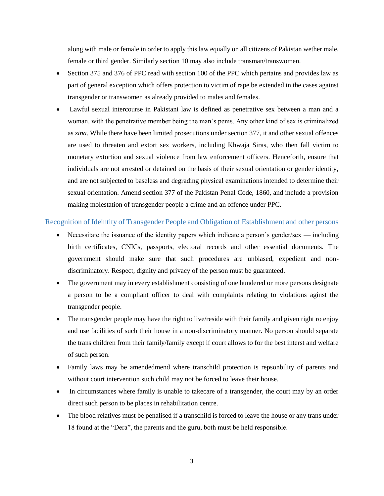along with male or female in order to apply this law equally on all citizens of Pakistan wether male, female or third gender. Similarly section 10 may also include transman/transwomen.

- Section 375 and 376 of PPC read with section 100 of the PPC which pertains and provides law as part of general exception which offers protection to victim of rape be extended in the cases against transgender or transwomen as already provided to males and females.
- Lawful sexual intercourse in Pakistani law is defined as penetrative sex between a man and a woman, with the penetrative member being the man's penis. Any other kind of sex is criminalized as *zina*. While there have been limited prosecutions under section 377, it and other sexual offences are used to threaten and extort sex workers, including Khwaja Siras, who then fall victim to monetary extortion and sexual violence from law enforcement officers. Henceforth, ensure that individuals are not arrested or detained on the basis of their sexual orientation or gender identity, and are not subjected to baseless and degrading physical examinations intended to determine their sexual orientation. Amend section 377 of the Pakistan Penal Code, 1860, and include a provision making molestation of transgender people a crime and an offence under PPC.

#### Recognition of Ideintity of Transgender People and Obligation of Establishment and other persons

- $\bullet$  Necessitate the issuance of the identity papers which indicate a person's gender/sex including birth certificates, CNICs, passports, electoral records and other essential documents. The government should make sure that such procedures are unbiased, expedient and nondiscriminatory. Respect, dignity and privacy of the person must be guaranteed.
- The government may in every establishment consisting of one hundered or more persons designate a person to be a compliant officer to deal with complaints relating to violations aginst the transgender people.
- The transgender people may have the right to live/reside with their family and given right ro enjoy and use facilities of such their house in a non-discriminatory manner. No person should separate the trans children from their family/family except if court allows to for the best interst and welfare of such person.
- Family laws may be amendedmend where transchild protection is repsonbility of parents and without court intervention such child may not be forced to leave their house.
- In circumstances where family is unable to takecare of a transgender, the court may by an order direct such person to be places in rehabilitation centre.
- The blood relatives must be penalised if a transchild is forced to leave the house or any trans under 18 found at the "Dera", the parents and the guru, both must be held responsible.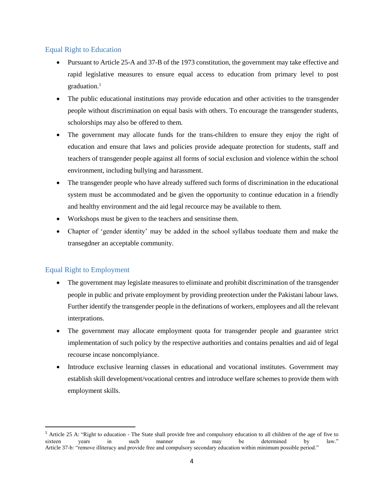#### Equal Right to Education

- Pursuant to Article 25-A and 37-B of the 1973 constitution, the government may take effective and rapid legislative measures to ensure equal access to education from primary level to post  $graduation.<sup>1</sup>$
- The public educational institutions may provide education and other activities to the transgender people without discrimination on equal basis with others. To encourage the transgender students, scholorships may also be offered to them.
- The government may allocate funds for the trans-children to ensure they enjoy the right of education and ensure that laws and policies provide adequate protection for students, staff and teachers of transgender people against all forms of social exclusion and violence within the school environment, including bullying and harassment.
- The transgender people who have already suffered such forms of discrimination in the educational system must be accommodated and be given the opportunity to continue education in a friendly and healthy environment and the aid legal recource may be available to them.
- Workshops must be given to the teachers and sensitinse them.
- Chapter of 'gender identity' may be added in the school syllabus toeduate them and make the transegdner an acceptable community.

## Equal Right to Employment

 $\overline{\phantom{a}}$ 

- The government may legislate measures to eliminate and prohibit discrimination of the transgender people in public and private employment by providing preotection under the Pakistani labour laws. Further identify the transgender people in the definations of workers, employees and all the relevant interprations.
- The government may allocate employment quota for transgender people and guarantee strict implementation of such policy by the respective authorities and contains penalties and aid of legal recourse incase noncomplyiance.
- Introduce exclusive learning classes in educational and vocational institutes. Government may establish skill development/vocational centres and introduce welfare schemes to provide them with employment skills.

<sup>1</sup> Article 25 A: "Right to education - The State shall provide free and compulsory education to all children of the age of five to sixteen years in such manner as may be determined by law." Article 37-b: "remove illiteracy and provide free and compulsory secondary education within minimum possible period."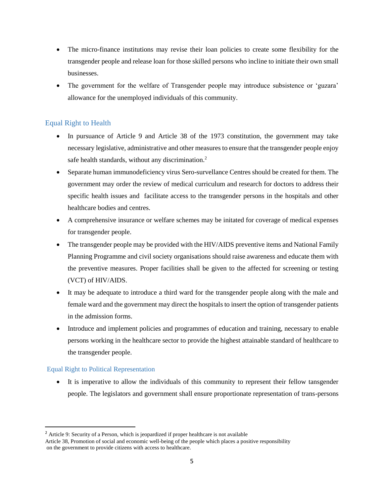- The micro-finance institutions may revise their loan policies to create some flexibility for the transgender people and release loan for those skilled persons who incline to initiate their own small businesses.
- The government for the welfare of Transgender people may introduce subsistence or 'guzara' allowance for the unemployed individuals of this community.

### Equal Right to Health

- In pursuance of Article 9 and Article 38 of the 1973 constitution, the government may take necessary legislative, administrative and other measures to ensure that the transgender people enjoy safe health standards, without any discrimination.<sup>2</sup>
- Separate human immunodeficiency virus Sero-survellance Centres should be created for them. The government may order the review of medical curriculum and research for doctors to address their specific health issues and facilitate access to the transgender persons in the hospitals and other healthcare bodies and centres.
- A comprehensive insurance or welfare schemes may be initated for coverage of medical expenses for transgender people.
- The transgender people may be provided with the HIV/AIDS preventive items and National Family Planning Programme and civil society organisations should raise awareness and educate them with the preventive measures. Proper facilities shall be given to the affected for screening or testing (VCT) of HIV/AIDS.
- It may be adequate to introduce a third ward for the transgender people along with the male and female ward and the government may direct the hospitals to insert the option of transgender patients in the admission forms.
- Introduce and implement policies and programmes of education and training, necessary to enable persons working in the healthcare sector to provide the highest attainable standard of healthcare to the transgender people.

#### Equal Right to Political Representation

 $\overline{\phantom{a}}$ 

 It is imperative to allow the individuals of this community to represent their fellow tansgender people. The legislators and government shall ensure proportionate representation of trans-persons

<sup>&</sup>lt;sup>2</sup> Article 9: Security of a Person, which is jeopardized if proper healthcare is not available

Article 38, Promotion of social and economic well-being of the people which places a positive responsibility on the government to provide citizens with access to healthcare.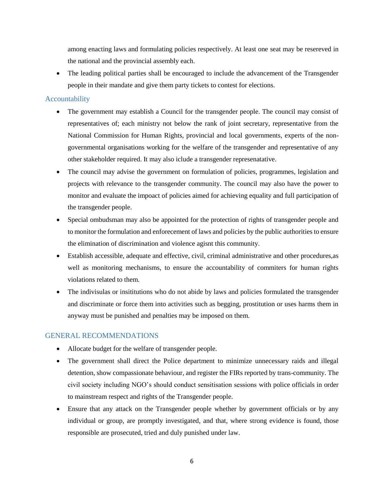among enacting laws and formulating policies respectively. At least one seat may be resereved in the national and the provincial assembly each.

 The leading political parties shall be encouraged to include the advancement of the Transgender people in their mandate and give them party tickets to contest for elections.

#### Accountability

- The government may establish a Council for the transgender people. The council may consist of representatives of; each ministry not below the rank of joint secretary, representative from the National Commission for Human Rights, provincial and local governments, experts of the nongovernmental organisations working for the welfare of the transgender and representative of any other stakeholder required. It may also iclude a transgender represenatative.
- The council may advise the government on formulation of policies, programmes, legislation and projects with relevance to the transgender community. The council may also have the power to monitor and evaluate the impoact of policies aimed for achieving equality and full participation of the transgender people.
- Special ombudsman may also be appointed for the protection of rights of transgender people and to monitor the formulation and enforecement of laws and policies by the public authorities to ensure the elimination of discrimination and violence agisnt this community.
- Establish accessible, adequate and effective, civil, criminal administrative and other procedures,as well as monitoring mechanisms, to ensure the accountability of commiters for human rights violations related to them.
- The indivisulas or insititutions who do not abide by laws and policies formulated the transgender and discriminate or force them into activities such as begging, prostitution or uses harms them in anyway must be punished and penalties may be imposed on them.

#### GENERAL RECOMMENDATIONS

- Allocate budget for the welfare of transgender people.
- The government shall direct the Police department to minimize unnecessary raids and illegal detention, show compassionate behaviour, and register the FIRs reported by trans-community. The civil society including NGO's should conduct sensitisation sessions with police officials in order to mainstream respect and rights of the Transgender people.
- Ensure that any attack on the Transgender people whether by government officials or by any individual or group, are promptly investigated, and that, where strong evidence is found, those responsible are prosecuted, tried and duly punished under law.